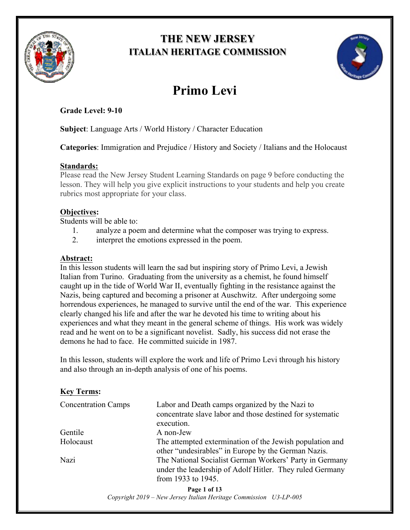

## **THE NEW JERSEY ITALIAN HERITAGE COMMISSION**



# **Primo Levi**

**Grade Level: 9-10**

**Subject**: Language Arts / World History / Character Education

**Categories**: Immigration and Prejudice / History and Society / Italians and the Holocaust

## **Standards:**

Please read the New Jersey Student Learning Standards on page 9 before conducting the lesson. They will help you give explicit instructions to your students and help you create rubrics most appropriate for your class.

## **Objectives:**

Students will be able to:

- 1. analyze a poem and determine what the composer was trying to express.
- 2. interpret the emotions expressed in the poem.

## **Abstract:**

In this lesson students will learn the sad but inspiring story of Primo Levi, a Jewish Italian from Turino. Graduating from the university as a chemist, he found himself caught up in the tide of World War II, eventually fighting in the resistance against the Nazis, being captured and becoming a prisoner at Auschwitz. After undergoing some horrendous experiences, he managed to survive until the end of the war. This experience clearly changed his life and after the war he devoted his time to writing about his experiences and what they meant in the general scheme of things. His work was widely read and he went on to be a significant novelist. Sadly, his success did not erase the demons he had to face. He committed suicide in 1987.

In this lesson, students will explore the work and life of Primo Levi through his history and also through an in-depth analysis of one of his poems.

## **Key Terms:**

| <b>Concentration Camps</b> | Labor and Death camps organized by the Nazi to<br>concentrate slave labor and those destined for systematic<br>execution.                 |
|----------------------------|-------------------------------------------------------------------------------------------------------------------------------------------|
| Gentile                    | A non-Jew                                                                                                                                 |
| Holocaust                  | The attempted extermination of the Jewish population and<br>other "undesirables" in Europe by the German Nazis.                           |
| Nazi                       | The National Socialist German Workers' Party in Germany<br>under the leadership of Adolf Hitler. They ruled Germany<br>from 1933 to 1945. |

**Page 1 of 13** *Copyright 2019 – New Jersey Italian Heritage Commission U3-LP-005*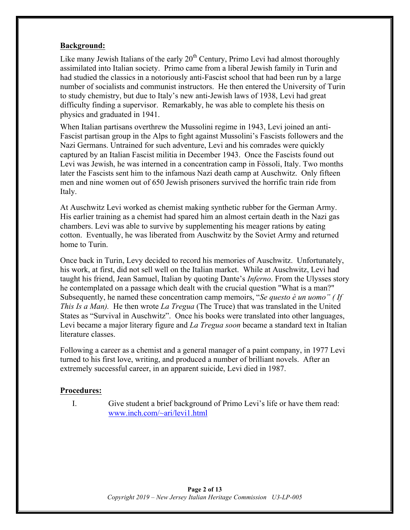### **Background:**

Like many Jewish Italians of the early  $20<sup>th</sup>$  Century, Primo Levi had almost thoroughly assimilated into Italian society. Primo came from a liberal Jewish family in Turin and had studied the classics in a notoriously anti-Fascist school that had been run by a large number of socialists and communist instructors. He then entered the University of Turin to study chemistry, but due to Italy's new anti-Jewish laws of 1938, Levi had great difficulty finding a supervisor. Remarkably, he was able to complete his thesis on physics and graduated in 1941.

When Italian partisans overthrew the Mussolini regime in 1943, Levi joined an anti-Fascist partisan group in the Alps to fight against Mussolini's Fascists followers and the Nazi Germans. Untrained for such adventure, Levi and his comrades were quickly captured by an Italian Fascist militia in December 1943. Once the Fascists found out Levi was Jewish, he was interned in a concentration camp in Fòssoli, Italy. Two months later the Fascists sent him to the infamous Nazi death camp at Auschwitz. Only fifteen men and nine women out of 650 Jewish prisoners survived the horrific train ride from Italy.

At Auschwitz Levi worked as chemist making synthetic rubber for the German Army. His earlier training as a chemist had spared him an almost certain death in the Nazi gas chambers. Levi was able to survive by supplementing his meager rations by eating cotton. Eventually, he was liberated from Auschwitz by the Soviet Army and returned home to Turin.

Once back in Turin, Levy decided to record his memories of Auschwitz. Unfortunately, his work, at first, did not sell well on the Italian market. While at Auschwitz, Levi had taught his friend, Jean Samuel, Italian by quoting Dante's *Inferno*. From the Ulysses story he contemplated on a passage which dealt with the crucial question "What is a man?" Subsequently, he named these concentration camp memoirs, "*Se questo è un uomo" ( If This Is a Man).* He then wrote *La Tregua* (The Truce) that was translated in the United States as "Survival in Auschwitz". Once his books were translated into other languages, Levi became a major literary figure and *La Tregua soon* became a standard text in Italian literature classes.

Following a career as a chemist and a general manager of a paint company, in 1977 Levi turned to his first love, writing, and produced a number of brilliant novels. After an extremely successful career, in an apparent suicide, Levi died in 1987.

## **Procedures:**

I. Give student a brief background of Primo Levi's life or have them read: www.inch.com/~ari/levi1.html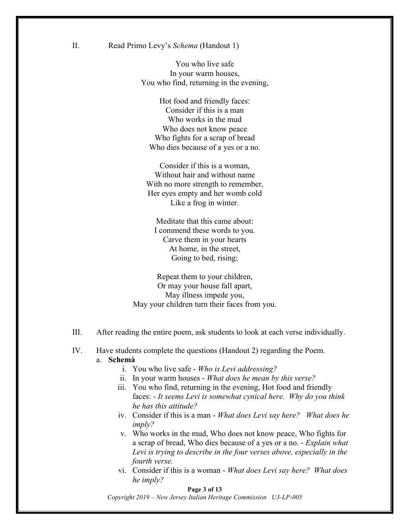II. Read Primo Levy's *Schema* (Handout 1)

You who live safe In your warm houses, You who find, returning in the evening,

Hot food and friendly faces: Consider if this is a man Who works in the mud Who does not know peace Who fights for a scrap of bread Who dies because of a yes or a no.

Consider if this is a woman, Without hair and without name With no more strength to remember, Her eyes empty and her womb cold Like a frog in winter.

Meditate that this came about: I commend these words to you. Carve them in your hearts At home, in the street, Going to bed, rising;

Repeat them to your children, Or may your house fall apart, May illness impede you, May your children turn their faces from you.

- III. After reading the entire poem, ask students to look at each verse individually.
- IV. Have students complete the questions (Handout 2) regarding the Poem.

#### a. **Schemà**

- i. You who live safe *Who is Levi addressing?*
- ii. In your warm houses *What does he mean by this verse?*
- iii. You who find, returning in the evening, Hot food and friendly faces: - *It seems Levi is somewhat cynical here. Why do you think he has this attitude?*
- iv. Consider if this is a man *What does Levi say here? What does he imply?*
- v. Who works in the mud, Who does not know peace, Who fights for a scrap of bread, Who dies because of a yes or a no. - *Explain what Levi is trying to describe in the four verses above, especially in the fourth verse.*
- vi. Consider if this is a woman *What does Levi say here? What does he imply?*

#### **Page 3 of 13**

*Copyright 2019 – New Jersey Italian Heritage Commission U3-LP-005*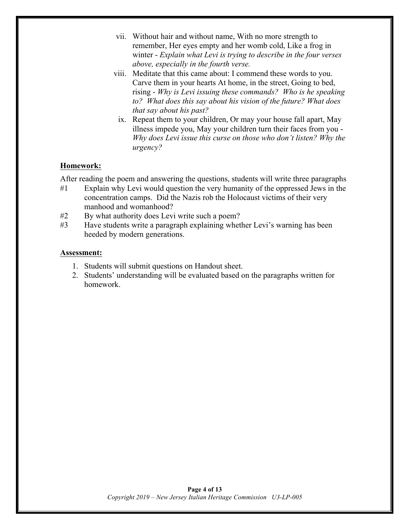- vii. Without hair and without name, With no more strength to remember, Her eyes empty and her womb cold, Like a frog in winter - *Explain what Levi is trying to describe in the four verses above, especially in the fourth verse.*
- viii. Meditate that this came about: I commend these words to you. Carve them in your hearts At home, in the street, Going to bed, rising - *Why is Levi issuing these commands? Who is he speaking to? What does this say about his vision of the future? What does that say about his past?*
	- ix. Repeat them to your children, Or may your house fall apart, May illness impede you, May your children turn their faces from you - *Why does Levi issue this curse on those who don't listen? Why the urgency?*

## **Homework:**

After reading the poem and answering the questions, students will write three paragraphs

- #1 Explain why Levi would question the very humanity of the oppressed Jews in the concentration camps. Did the Nazis rob the Holocaust victims of their very manhood and womanhood?
- #2 By what authority does Levi write such a poem?
- #3 Have students write a paragraph explaining whether Levi's warning has been heeded by modern generations.

### **Assessment:**

- 1. Students will submit questions on Handout sheet.
- 2. Students' understanding will be evaluated based on the paragraphs written for homework.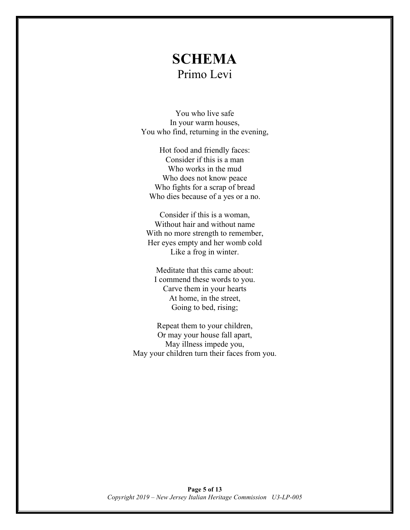## **SCHEMA** Primo Levi

You who live safe In your warm houses, You who find, returning in the evening,

Hot food and friendly faces: Consider if this is a man Who works in the mud Who does not know peace Who fights for a scrap of bread Who dies because of a yes or a no.

Consider if this is a woman, Without hair and without name With no more strength to remember, Her eyes empty and her womb cold Like a frog in winter.

Meditate that this came about: I commend these words to you. Carve them in your hearts At home, in the street, Going to bed, rising;

Repeat them to your children, Or may your house fall apart, May illness impede you, May your children turn their faces from you.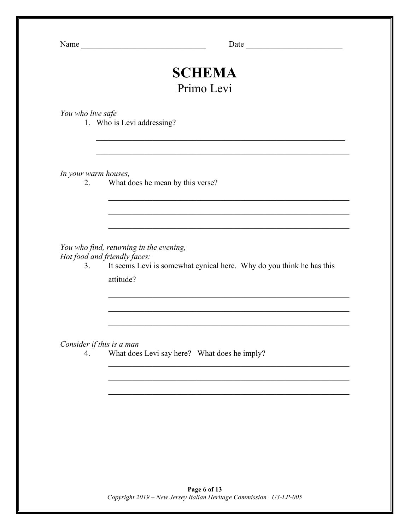Name \_\_\_\_\_\_\_\_\_\_\_\_\_\_\_\_\_\_\_\_\_\_\_\_\_\_\_\_\_\_\_ Date \_\_\_\_\_\_\_\_\_\_\_\_\_\_\_\_\_\_\_\_\_\_\_\_

## **SCHEMA** Primo Levi

 $\mathcal{L}_\text{max}$  and the contract of the contract of the contract of the contract of the contract of the contract of

 $\mathcal{L}_\mathcal{L}$  , and the contribution of the contribution of the contribution of the contribution of the contribution of the contribution of the contribution of the contribution of the contribution of the contribution of

 $\mathcal{L}_\mathcal{L}$  , and the contribution of the contribution of the contribution of the contribution of the contribution of the contribution of the contribution of the contribution of the contribution of the contribution of

 $\mathcal{L}_\mathcal{L}$  , and the contribution of the contribution of the contribution of the contribution of the contribution of the contribution of the contribution of the contribution of the contribution of the contribution of

 $\mathcal{L}_\mathcal{L}$  , and the contribution of the contribution of the contribution of the contribution of the contribution of the contribution of the contribution of the contribution of the contribution of the contribution of

 $\mathcal{L}_\mathcal{L}$  , and the contribution of the contribution of the contribution of the contribution of the contribution of the contribution of the contribution of the contribution of the contribution of the contribution of

 $\mathcal{L}_\text{max}$  and the contract of the contract of the contract of the contract of the contract of the contract of

*You who live safe*

1. Who is Levi addressing?

*In your warm houses,*

2. What does he mean by this verse?

*You who find, returning in the evening,*

*Hot food and friendly faces:*

3. It seems Levi is somewhat cynical here. Why do you think he has this attitude?

*Consider if this is a man*

4. What does Levi say here? What does he imply?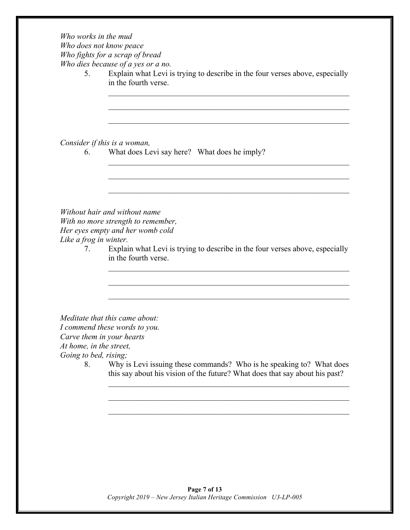*Who works in the mud Who does not know peace Who fights for a scrap of bread Who dies because of a yes or a no.*

5. Explain what Levi is trying to describe in the four verses above, especially in the fourth verse.

 $\mathcal{L}_\text{max}$  and the contract of the contract of the contract of the contract of the contract of the contract of

 $\mathcal{L}_\text{max}$  and the contract of the contract of the contract of the contract of the contract of the contract of

 $\mathcal{L}_\text{max}$  and the contract of the contract of the contract of the contract of the contract of the contract of

*Consider if this is a woman,*

6. What does Levi say here? What does he imply?

*Without hair and without name With no more strength to remember, Her eyes empty and her womb cold Like a frog in winter.*

7. Explain what Levi is trying to describe in the four verses above, especially in the fourth verse.

*Meditate that this came about: I commend these words to you.*

*Carve them in your hearts*

*At home, in the street,*

*Going to bed, rising;*

8. Why is Levi issuing these commands? Who is he speaking to? What does this say about his vision of the future? What does that say about his past?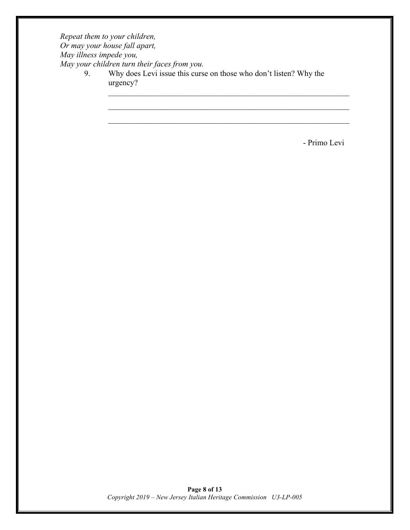*Repeat them to your children, Or may your house fall apart, May illness impede you, May your children turn their faces from you.*

9. Why does Levi issue this curse on those who don't listen? Why the urgency?

- Primo Levi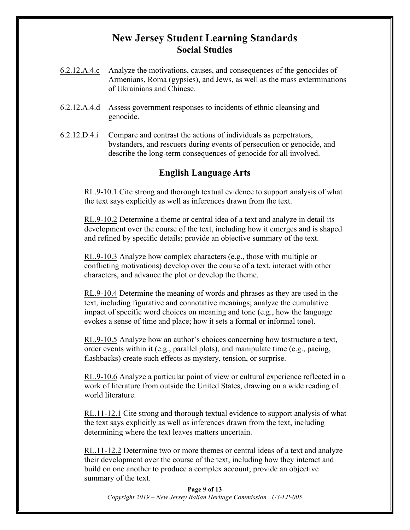## **New Jersey Student Learning Standards Social Studies**

- 6.2.12.A.4.c Analyze the motivations, causes, and consequences of the genocides of Armenians, Roma (gypsies), and Jews, as well as the mass exterminations of Ukrainians and Chinese.
- 6.2.12.A.4.d Assess government responses to incidents of ethnic cleansing and genocide.
- 6.2.12.D.4.i Compare and contrast the actions of individuals as perpetrators, bystanders, and rescuers during events of persecution or genocide, and describe the long-term consequences of genocide for all involved.

## **English Language Arts**

RL.9-10.1 Cite strong and thorough textual evidence to support analysis of what the text says explicitly as well as inferences drawn from the text.

RL.9-10.2 Determine a theme or central idea of a text and analyze in detail its development over the course of the text, including how it emerges and is shaped and refined by specific details; provide an objective summary of the text.

RL.9-10.3 Analyze how complex characters (e.g., those with multiple or conflicting motivations) develop over the course of a text, interact with other characters, and advance the plot or develop the theme.

RL.9-10.4 Determine the meaning of words and phrases as they are used in the text, including figurative and connotative meanings; analyze the cumulative impact of specific word choices on meaning and tone (e.g., how the language evokes a sense of time and place; how it sets a formal or informal tone).

RL.9-10.5 Analyze how an author's choices concerning how tostructure a text, order events within it (e.g., parallel plots), and manipulate time (e.g., pacing, flashbacks) create such effects as mystery, tension, or surprise.

RL.9-10.6 Analyze a particular point of view or cultural experience reflected in a work of literature from outside the United States, drawing on a wide reading of world literature.

RL.11-12.1 Cite strong and thorough textual evidence to support analysis of what the text says explicitly as well as inferences drawn from the text, including determining where the text leaves matters uncertain.

RL.11-12.2 Determine two or more themes or central ideas of a text and analyze their development over the course of the text, including how they interact and build on one another to produce a complex account; provide an objective summary of the text.

**Page 9 of 13** *Copyright 2019 – New Jersey Italian Heritage Commission U3-LP-005*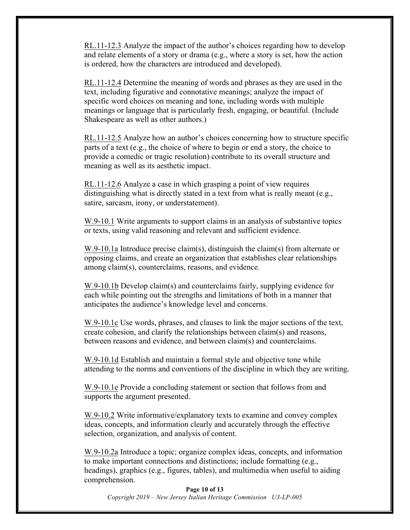RL.11-12.3 Analyze the impact of the author's choices regarding how to develop and relate elements of a story or drama (e.g., where a story is set, how the action is ordered, how the characters are introduced and developed).

RL.11-12.4 Determine the meaning of words and phrases as they are used in the text, including figurative and connotative meanings; analyze the impact of specific word choices on meaning and tone, including words with multiple meanings or language that is particularly fresh, engaging, or beautiful. (Include Shakespeare as well as other authors.)

RL.11-12.5 Analyze how an author's choices concerning how to structure specific parts of a text (e.g., the choice of where to begin or end a story, the choice to provide a comedic or tragic resolution) contribute to its overall structure and meaning as well as its aesthetic impact.

RL.11-12.6 Analyze a case in which grasping a point of view requires distinguishing what is directly stated in a text from what is really meant (e.g., satire, sarcasm, irony, or understatement).

W.9-10.1 Write arguments to support claims in an analysis of substantive topics or texts, using valid reasoning and relevant and sufficient evidence.

W.9-10.1a Introduce precise claim(s), distinguish the claim(s) from alternate or opposing claims, and create an organization that establishes clear relationships among claim(s), counterclaims, reasons, and evidence.

W.9-10.1b Develop claim(s) and counterclaims fairly, supplying evidence for each while pointing out the strengths and limitations of both in a manner that anticipates the audience's knowledge level and concerns.

W.9-10.1c Use words, phrases, and clauses to link the major sections of the text, create cohesion, and clarify the relationships between claim(s) and reasons, between reasons and evidence, and between claim(s) and counterclaims.

W.9-10.1d Establish and maintain a formal style and objective tone while attending to the norms and conventions of the discipline in which they are writing.

W.9-10.1e Provide a concluding statement or section that follows from and supports the argument presented.

W.9-10.2 Write informative/explanatory texts to examine and convey complex ideas, concepts, and information clearly and accurately through the effective selection, organization, and analysis of content.

W.9-10.2a Introduce a topic; organize complex ideas, concepts, and information to make important connections and distinctions; include formatting (e.g., headings), graphics (e.g., figures, tables), and multimedia when useful to aiding comprehension.

**Page 10 of 13** *Copyright 2019 – New Jersey Italian Heritage Commission U3-LP-005*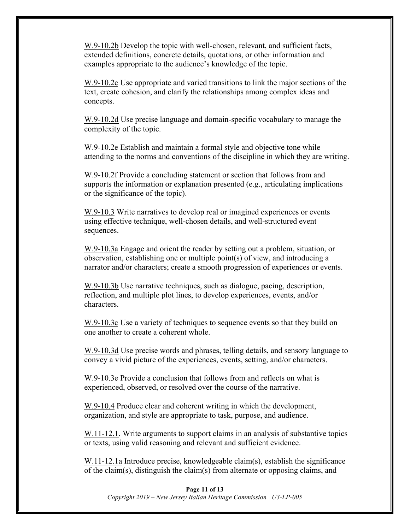W.9-10.2b Develop the topic with well-chosen, relevant, and sufficient facts, extended definitions, concrete details, quotations, or other information and examples appropriate to the audience's knowledge of the topic.

W.9-10.2c Use appropriate and varied transitions to link the major sections of the text, create cohesion, and clarify the relationships among complex ideas and concepts.

W.9-10.2d Use precise language and domain-specific vocabulary to manage the complexity of the topic.

W.9-10.2e Establish and maintain a formal style and objective tone while attending to the norms and conventions of the discipline in which they are writing.

W.9-10.2f Provide a concluding statement or section that follows from and supports the information or explanation presented (e.g., articulating implications or the significance of the topic).

W.9-10.3 Write narratives to develop real or imagined experiences or events using effective technique, well-chosen details, and well-structured event sequences.

W.9-10.3a Engage and orient the reader by setting out a problem, situation, or observation, establishing one or multiple point(s) of view, and introducing a narrator and/or characters; create a smooth progression of experiences or events.

W.9-10.3b Use narrative techniques, such as dialogue, pacing, description, reflection, and multiple plot lines, to develop experiences, events, and/or characters.

W.9-10.3c Use a variety of techniques to sequence events so that they build on one another to create a coherent whole.

W.9-10.3d Use precise words and phrases, telling details, and sensory language to convey a vivid picture of the experiences, events, setting, and/or characters.

W.9-10.3e Provide a conclusion that follows from and reflects on what is experienced, observed, or resolved over the course of the narrative.

W.9-10.4 Produce clear and coherent writing in which the development, organization, and style are appropriate to task, purpose, and audience.

W.11-12.1. Write arguments to support claims in an analysis of substantive topics or texts, using valid reasoning and relevant and sufficient evidence.

W.11-12.1a Introduce precise, knowledgeable claim(s), establish the significance of the claim(s), distinguish the claim(s) from alternate or opposing claims, and

#### **Page 11 of 13** *Copyright 2019 – New Jersey Italian Heritage Commission U3-LP-005*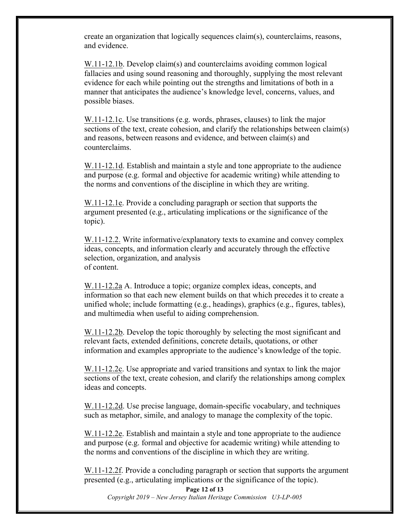create an organization that logically sequences claim(s), counterclaims, reasons, and evidence.

W.11-12.1b. Develop claim(s) and counterclaims avoiding common logical fallacies and using sound reasoning and thoroughly, supplying the most relevant evidence for each while pointing out the strengths and limitations of both in a manner that anticipates the audience's knowledge level, concerns, values, and possible biases.

W.11-12.1c. Use transitions (e.g. words, phrases, clauses) to link the major sections of the text, create cohesion, and clarify the relationships between claim(s) and reasons, between reasons and evidence, and between claim(s) and counterclaims.

W.11-12.1d. Establish and maintain a style and tone appropriate to the audience and purpose (e.g. formal and objective for academic writing) while attending to the norms and conventions of the discipline in which they are writing.

W.11-12.1e. Provide a concluding paragraph or section that supports the argument presented (e.g., articulating implications or the significance of the topic).

W.11-12.2. Write informative/explanatory texts to examine and convey complex ideas, concepts, and information clearly and accurately through the effective selection, organization, and analysis of content.

W.11-12.2a A. Introduce a topic; organize complex ideas, concepts, and information so that each new element builds on that which precedes it to create a unified whole; include formatting (e.g., headings), graphics (e.g., figures, tables), and multimedia when useful to aiding comprehension.

W.11-12.2b. Develop the topic thoroughly by selecting the most significant and relevant facts, extended definitions, concrete details, quotations, or other information and examples appropriate to the audience's knowledge of the topic.

W.11-12.2c. Use appropriate and varied transitions and syntax to link the major sections of the text, create cohesion, and clarify the relationships among complex ideas and concepts.

W.11-12.2d. Use precise language, domain-specific vocabulary, and techniques such as metaphor, simile, and analogy to manage the complexity of the topic.

W.11-12.2e. Establish and maintain a style and tone appropriate to the audience and purpose (e.g. formal and objective for academic writing) while attending to the norms and conventions of the discipline in which they are writing.

W.11-12.2f. Provide a concluding paragraph or section that supports the argument presented (e.g., articulating implications or the significance of the topic).

**Page 12 of 13** *Copyright 2019 – New Jersey Italian Heritage Commission U3-LP-005*